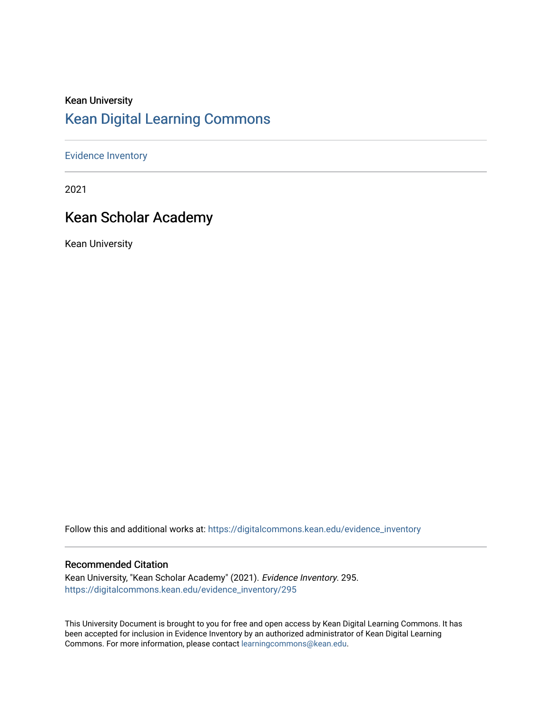### Kean University [Kean Digital Learning Commons](https://digitalcommons.kean.edu/)

### [Evidence Inventory](https://digitalcommons.kean.edu/evidence_inventory)

2021

### Kean Scholar Academy

Kean University

Follow this and additional works at: [https://digitalcommons.kean.edu/evidence\\_inventory](https://digitalcommons.kean.edu/evidence_inventory?utm_source=digitalcommons.kean.edu%2Fevidence_inventory%2F295&utm_medium=PDF&utm_campaign=PDFCoverPages)

#### Recommended Citation

Kean University, "Kean Scholar Academy" (2021). Evidence Inventory. 295. [https://digitalcommons.kean.edu/evidence\\_inventory/295](https://digitalcommons.kean.edu/evidence_inventory/295?utm_source=digitalcommons.kean.edu%2Fevidence_inventory%2F295&utm_medium=PDF&utm_campaign=PDFCoverPages)

This University Document is brought to you for free and open access by Kean Digital Learning Commons. It has been accepted for inclusion in Evidence Inventory by an authorized administrator of Kean Digital Learning Commons. For more information, please contact [learningcommons@kean.edu.](mailto:learningcommons@kean.edu)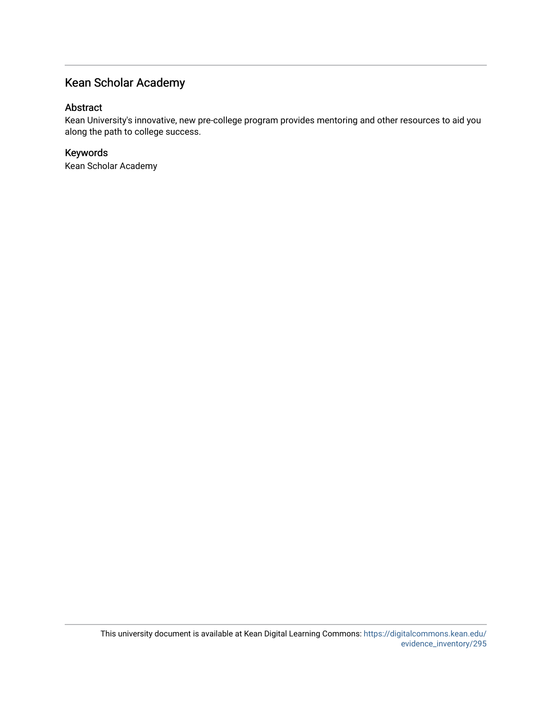### Kean Scholar Academy

### Abstract

Kean University's innovative, new pre-college program provides mentoring and other resources to aid you along the path to college success.

### Keywords

Kean Scholar Academy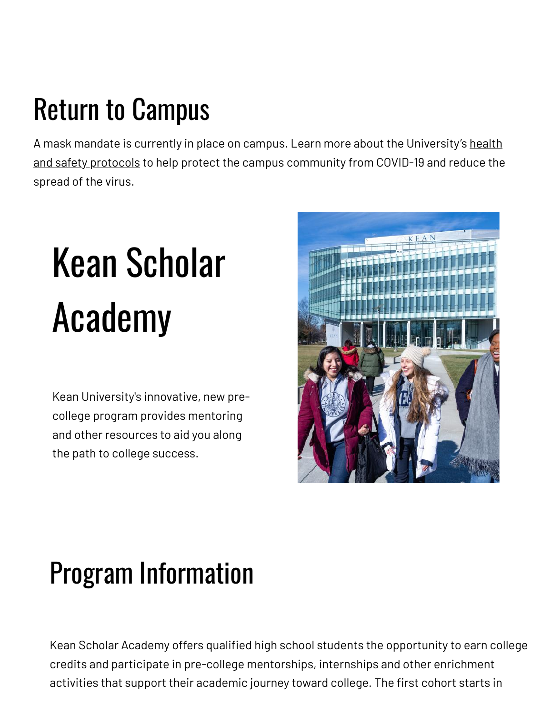## Return to Campus

A mask mandate is currently in place on campus. Learn more about the [University's](https://www.kean.edu/welcome-fall-2021-semester) health and safety protocols to help protect the campus community from COVID-19 and reduce the spread of the virus.

# Kean Scholar Academy

Kean University's innovative, new precollege program provides mentoring and other resources to aid you along the path to college success.



### Program Information

Kean Scholar Academy offers qualified high school students the opportunity to earn college credits and participate in pre-college mentorships, internships and other enrichment activities that support their academic journey toward college. The first cohort starts in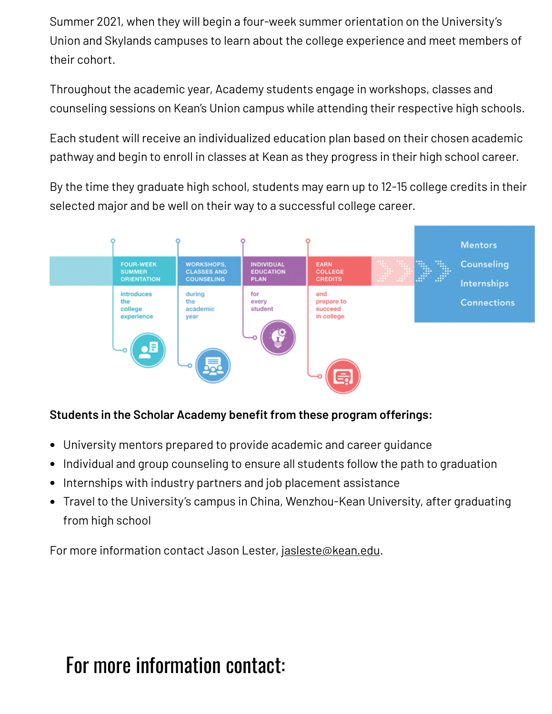Summer 2021, when they will begin a four-week summer orientation on the University's Union and Skylands campuses to learn about the college experience and meet members of their cohort.

Throughout the academic year, Academy students engage in workshops, classes and counseling sessions on Kean's Union campus while attending their respective high schools.

Each student will receive an individualized education plan based on their chosen academic pathway and begin to enroll in classes at Kean as they progress in their high school career.

By the time they graduate high school, students may earn up to 12-15 college credits in their selected major and be well on their way to a successful college career.



### **Students in the Scholar Academy benefit from these program offerings:**

- University mentors prepared to provide academic and career guidance
- Individual and group counseling to ensure all students follow the path to graduation
- Internships with industry partners and job placement assistance
- Travel to the University's campus in China, Wenzhou-Kean University, after graduating from high school

For more information contact Jason Lester, [jasleste@kean.edu.](mailto:jasleste@kean.edu)

### For more information contact: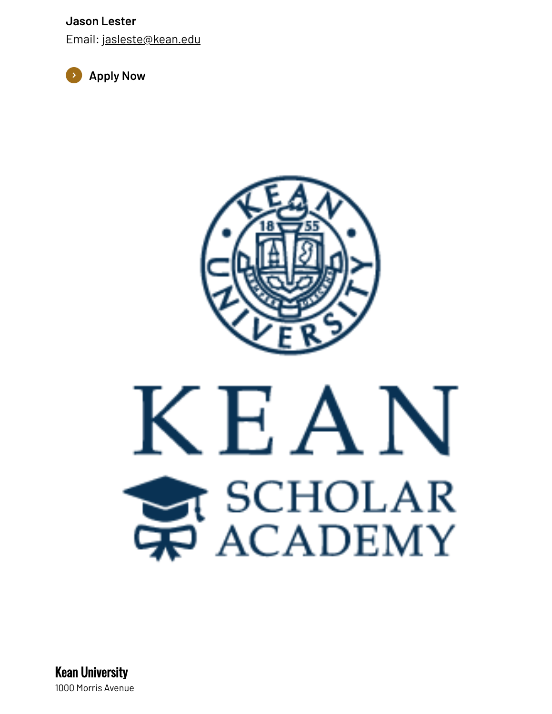**Jason Lester**

Email: [jasleste@kean.edu](mailto:jasleste@kean.edu)





Kean University 1000 Morris Avenue